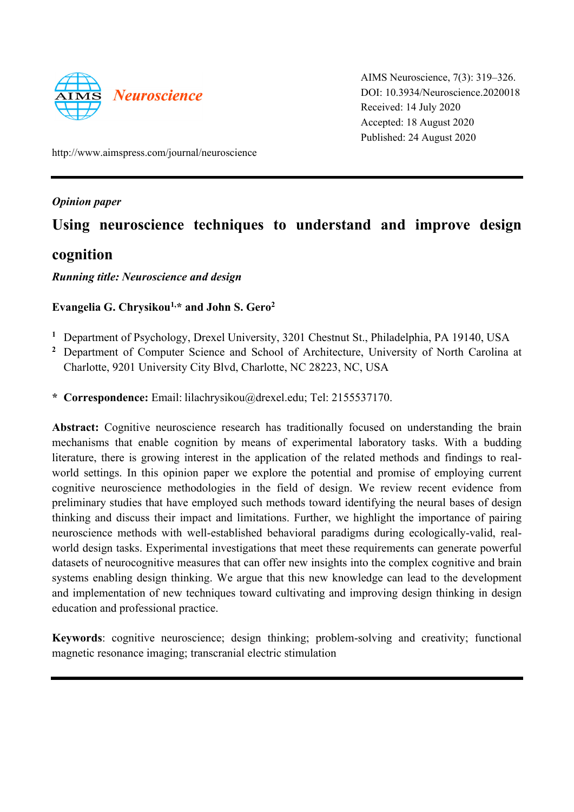

AIMS Neuroscience, 7(3): 319–326. DOI: 10.3934/Neuroscience.2020018 Received: 14 July 2020 Accepted: 18 August 2020 Published: 24 August 2020

http://www.aimspress.com/journal/neuroscience

*Opinion paper* 

# **Using neuroscience techniques to understand and improve design**

# **cognition**

## *Running title: Neuroscience and design*

# **Evangelia G. Chrysikou1,\* and John S. Gero2**

- **<sup>1</sup>** Department of Psychology, Drexel University, 3201 Chestnut St., Philadelphia, PA 19140, USA
- **<sup>2</sup>** Department of Computer Science and School of Architecture, University of North Carolina at Charlotte, 9201 University City Blvd, Charlotte, NC 28223, NC, USA
- **\* Correspondence:** Email: lilachrysikou@drexel.edu; Tel: 2155537170.

Abstract: Cognitive neuroscience research has traditionally focused on understanding the brain mechanisms that enable cognition by means of experimental laboratory tasks. With a budding literature, there is growing interest in the application of the related methods and findings to realworld settings. In this opinion paper we explore the potential and promise of employing current cognitive neuroscience methodologies in the field of design. We review recent evidence from preliminary studies that have employed such methods toward identifying the neural bases of design thinking and discuss their impact and limitations. Further, we highlight the importance of pairing neuroscience methods with well-established behavioral paradigms during ecologically-valid, realworld design tasks. Experimental investigations that meet these requirements can generate powerful datasets of neurocognitive measures that can offer new insights into the complex cognitive and brain systems enabling design thinking. We argue that this new knowledge can lead to the development and implementation of new techniques toward cultivating and improving design thinking in design education and professional practice.

**Keywords**: cognitive neuroscience; design thinking; problem-solving and creativity; functional magnetic resonance imaging; transcranial electric stimulation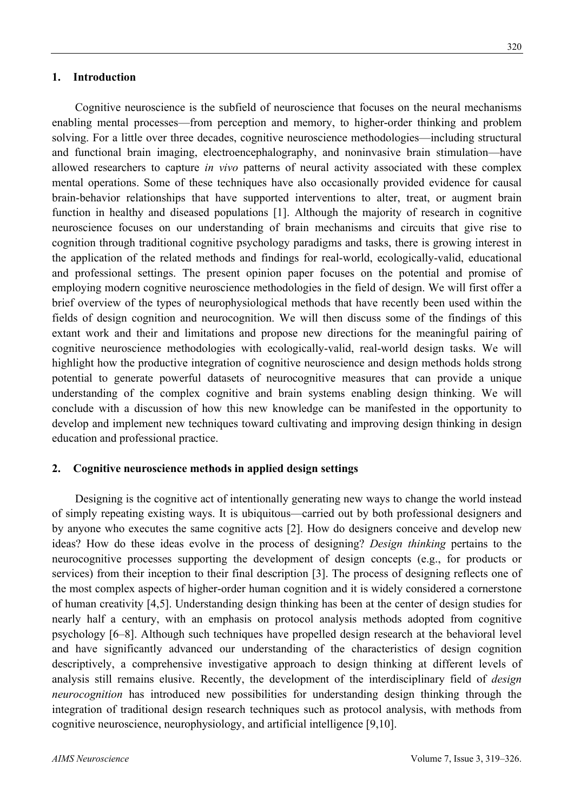Cognitive neuroscience is the subfield of neuroscience that focuses on the neural mechanisms enabling mental processes—from perception and memory, to higher-order thinking and problem solving. For a little over three decades, cognitive neuroscience methodologies—including structural and functional brain imaging, electroencephalography, and noninvasive brain stimulation—have allowed researchers to capture *in vivo* patterns of neural activity associated with these complex mental operations. Some of these techniques have also occasionally provided evidence for causal brain-behavior relationships that have supported interventions to alter, treat, or augment brain function in healthy and diseased populations [1]. Although the majority of research in cognitive neuroscience focuses on our understanding of brain mechanisms and circuits that give rise to cognition through traditional cognitive psychology paradigms and tasks, there is growing interest in the application of the related methods and findings for real-world, ecologically-valid, educational and professional settings. The present opinion paper focuses on the potential and promise of employing modern cognitive neuroscience methodologies in the field of design. We will first offer a brief overview of the types of neurophysiological methods that have recently been used within the fields of design cognition and neurocognition. We will then discuss some of the findings of this extant work and their and limitations and propose new directions for the meaningful pairing of cognitive neuroscience methodologies with ecologically-valid, real-world design tasks. We will highlight how the productive integration of cognitive neuroscience and design methods holds strong potential to generate powerful datasets of neurocognitive measures that can provide a unique understanding of the complex cognitive and brain systems enabling design thinking. We will conclude with a discussion of how this new knowledge can be manifested in the opportunity to develop and implement new techniques toward cultivating and improving design thinking in design education and professional practice.

#### **2. Cognitive neuroscience methods in applied design settings**

Designing is the cognitive act of intentionally generating new ways to change the world instead of simply repeating existing ways. It is ubiquitous—carried out by both professional designers and by anyone who executes the same cognitive acts [2]. How do designers conceive and develop new ideas? How do these ideas evolve in the process of designing? *Design thinking* pertains to the neurocognitive processes supporting the development of design concepts (e.g., for products or services) from their inception to their final description [3]. The process of designing reflects one of the most complex aspects of higher-order human cognition and it is widely considered a cornerstone of human creativity [4,5]. Understanding design thinking has been at the center of design studies for nearly half a century, with an emphasis on protocol analysis methods adopted from cognitive psychology [6–8]. Although such techniques have propelled design research at the behavioral level and have significantly advanced our understanding of the characteristics of design cognition descriptively, a comprehensive investigative approach to design thinking at different levels of analysis still remains elusive. Recently, the development of the interdisciplinary field of *design neurocognition* has introduced new possibilities for understanding design thinking through the integration of traditional design research techniques such as protocol analysis, with methods from cognitive neuroscience, neurophysiology, and artificial intelligence [9,10].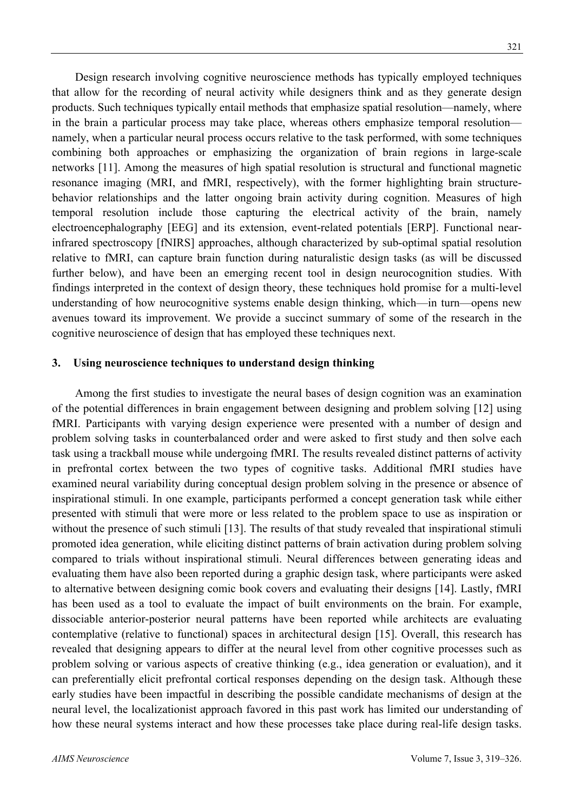Design research involving cognitive neuroscience methods has typically employed techniques that allow for the recording of neural activity while designers think and as they generate design products. Such techniques typically entail methods that emphasize spatial resolution—namely, where in the brain a particular process may take place, whereas others emphasize temporal resolution namely, when a particular neural process occurs relative to the task performed, with some techniques combining both approaches or emphasizing the organization of brain regions in large-scale networks [11]. Among the measures of high spatial resolution is structural and functional magnetic resonance imaging (MRI, and fMRI, respectively), with the former highlighting brain structurebehavior relationships and the latter ongoing brain activity during cognition. Measures of high temporal resolution include those capturing the electrical activity of the brain, namely electroencephalography [EEG] and its extension, event-related potentials [ERP]. Functional nearinfrared spectroscopy [fNIRS] approaches, although characterized by sub-optimal spatial resolution relative to fMRI, can capture brain function during naturalistic design tasks (as will be discussed further below), and have been an emerging recent tool in design neurocognition studies. With findings interpreted in the context of design theory, these techniques hold promise for a multi-level understanding of how neurocognitive systems enable design thinking, which—in turn—opens new avenues toward its improvement. We provide a succinct summary of some of the research in the cognitive neuroscience of design that has employed these techniques next.

#### **3. Using neuroscience techniques to understand design thinking**

Among the first studies to investigate the neural bases of design cognition was an examination of the potential differences in brain engagement between designing and problem solving [12] using fMRI. Participants with varying design experience were presented with a number of design and problem solving tasks in counterbalanced order and were asked to first study and then solve each task using a trackball mouse while undergoing fMRI. The results revealed distinct patterns of activity in prefrontal cortex between the two types of cognitive tasks. Additional fMRI studies have examined neural variability during conceptual design problem solving in the presence or absence of inspirational stimuli. In one example, participants performed a concept generation task while either presented with stimuli that were more or less related to the problem space to use as inspiration or without the presence of such stimuli [13]. The results of that study revealed that inspirational stimuli promoted idea generation, while eliciting distinct patterns of brain activation during problem solving compared to trials without inspirational stimuli. Neural differences between generating ideas and evaluating them have also been reported during a graphic design task, where participants were asked to alternative between designing comic book covers and evaluating their designs [14]. Lastly, fMRI has been used as a tool to evaluate the impact of built environments on the brain. For example, dissociable anterior-posterior neural patterns have been reported while architects are evaluating contemplative (relative to functional) spaces in architectural design [15]. Overall, this research has revealed that designing appears to differ at the neural level from other cognitive processes such as problem solving or various aspects of creative thinking (e.g., idea generation or evaluation), and it can preferentially elicit prefrontal cortical responses depending on the design task. Although these early studies have been impactful in describing the possible candidate mechanisms of design at the neural level, the localizationist approach favored in this past work has limited our understanding of how these neural systems interact and how these processes take place during real-life design tasks.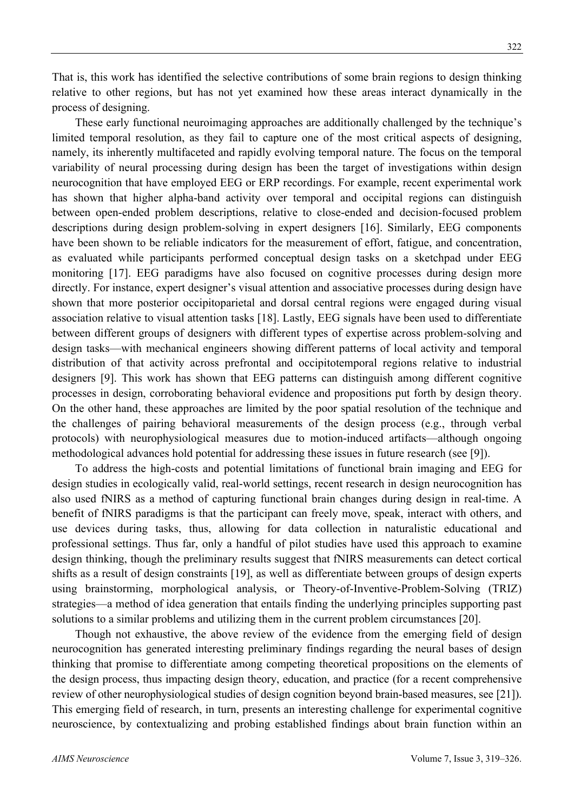That is, this work has identified the selective contributions of some brain regions to design thinking relative to other regions, but has not yet examined how these areas interact dynamically in the process of designing.

These early functional neuroimaging approaches are additionally challenged by the technique's limited temporal resolution, as they fail to capture one of the most critical aspects of designing, namely, its inherently multifaceted and rapidly evolving temporal nature. The focus on the temporal variability of neural processing during design has been the target of investigations within design neurocognition that have employed EEG or ERP recordings. For example, recent experimental work has shown that higher alpha-band activity over temporal and occipital regions can distinguish between open-ended problem descriptions, relative to close-ended and decision-focused problem descriptions during design problem-solving in expert designers [16]. Similarly, EEG components have been shown to be reliable indicators for the measurement of effort, fatigue, and concentration, as evaluated while participants performed conceptual design tasks on a sketchpad under EEG monitoring [17]. EEG paradigms have also focused on cognitive processes during design more directly. For instance, expert designer's visual attention and associative processes during design have shown that more posterior occipitoparietal and dorsal central regions were engaged during visual association relative to visual attention tasks [18]. Lastly, EEG signals have been used to differentiate between different groups of designers with different types of expertise across problem-solving and design tasks—with mechanical engineers showing different patterns of local activity and temporal distribution of that activity across prefrontal and occipitotemporal regions relative to industrial designers [9]. This work has shown that EEG patterns can distinguish among different cognitive processes in design, corroborating behavioral evidence and propositions put forth by design theory. On the other hand, these approaches are limited by the poor spatial resolution of the technique and the challenges of pairing behavioral measurements of the design process (e.g., through verbal protocols) with neurophysiological measures due to motion-induced artifacts—although ongoing methodological advances hold potential for addressing these issues in future research (see [9]).

To address the high-costs and potential limitations of functional brain imaging and EEG for design studies in ecologically valid, real-world settings, recent research in design neurocognition has also used fNIRS as a method of capturing functional brain changes during design in real-time. A benefit of fNIRS paradigms is that the participant can freely move, speak, interact with others, and use devices during tasks, thus, allowing for data collection in naturalistic educational and professional settings. Thus far, only a handful of pilot studies have used this approach to examine design thinking, though the preliminary results suggest that fNIRS measurements can detect cortical shifts as a result of design constraints [19], as well as differentiate between groups of design experts using brainstorming, morphological analysis, or Theory-of-Inventive-Problem-Solving (TRIZ) strategies—a method of idea generation that entails finding the underlying principles supporting past solutions to a similar problems and utilizing them in the current problem circumstances [20].

Though not exhaustive, the above review of the evidence from the emerging field of design neurocognition has generated interesting preliminary findings regarding the neural bases of design thinking that promise to differentiate among competing theoretical propositions on the elements of the design process, thus impacting design theory, education, and practice (for a recent comprehensive review of other neurophysiological studies of design cognition beyond brain-based measures, see [21]). This emerging field of research, in turn, presents an interesting challenge for experimental cognitive neuroscience, by contextualizing and probing established findings about brain function within an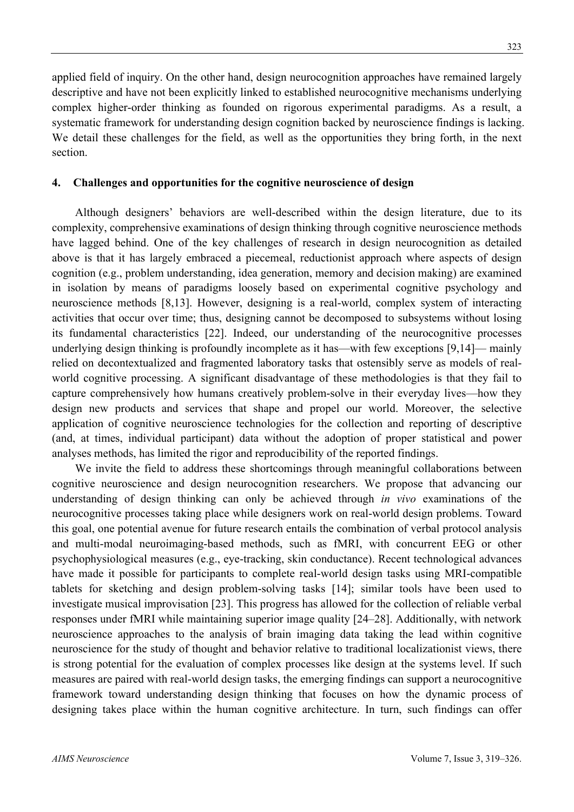applied field of inquiry. On the other hand, design neurocognition approaches have remained largely descriptive and have not been explicitly linked to established neurocognitive mechanisms underlying complex higher-order thinking as founded on rigorous experimental paradigms. As a result, a systematic framework for understanding design cognition backed by neuroscience findings is lacking. We detail these challenges for the field, as well as the opportunities they bring forth, in the next section.

### **4. Challenges and opportunities for the cognitive neuroscience of design**

Although designers' behaviors are well-described within the design literature, due to its complexity, comprehensive examinations of design thinking through cognitive neuroscience methods have lagged behind. One of the key challenges of research in design neurocognition as detailed above is that it has largely embraced a piecemeal, reductionist approach where aspects of design cognition (e.g., problem understanding, idea generation, memory and decision making) are examined in isolation by means of paradigms loosely based on experimental cognitive psychology and neuroscience methods [8,13]. However, designing is a real-world, complex system of interacting activities that occur over time; thus, designing cannot be decomposed to subsystems without losing its fundamental characteristics [22]. Indeed, our understanding of the neurocognitive processes underlying design thinking is profoundly incomplete as it has—with few exceptions [9,14]— mainly relied on decontextualized and fragmented laboratory tasks that ostensibly serve as models of realworld cognitive processing. A significant disadvantage of these methodologies is that they fail to capture comprehensively how humans creatively problem-solve in their everyday lives—how they design new products and services that shape and propel our world. Moreover, the selective application of cognitive neuroscience technologies for the collection and reporting of descriptive (and, at times, individual participant) data without the adoption of proper statistical and power analyses methods, has limited the rigor and reproducibility of the reported findings.

We invite the field to address these shortcomings through meaningful collaborations between cognitive neuroscience and design neurocognition researchers. We propose that advancing our understanding of design thinking can only be achieved through *in vivo* examinations of the neurocognitive processes taking place while designers work on real-world design problems. Toward this goal, one potential avenue for future research entails the combination of verbal protocol analysis and multi-modal neuroimaging-based methods, such as fMRI, with concurrent EEG or other psychophysiological measures (e.g., eye-tracking, skin conductance). Recent technological advances have made it possible for participants to complete real-world design tasks using MRI-compatible tablets for sketching and design problem-solving tasks [14]; similar tools have been used to investigate musical improvisation [23]. This progress has allowed for the collection of reliable verbal responses under fMRI while maintaining superior image quality [24–28]. Additionally, with network neuroscience approaches to the analysis of brain imaging data taking the lead within cognitive neuroscience for the study of thought and behavior relative to traditional localizationist views, there is strong potential for the evaluation of complex processes like design at the systems level. If such measures are paired with real-world design tasks, the emerging findings can support a neurocognitive framework toward understanding design thinking that focuses on how the dynamic process of designing takes place within the human cognitive architecture. In turn, such findings can offer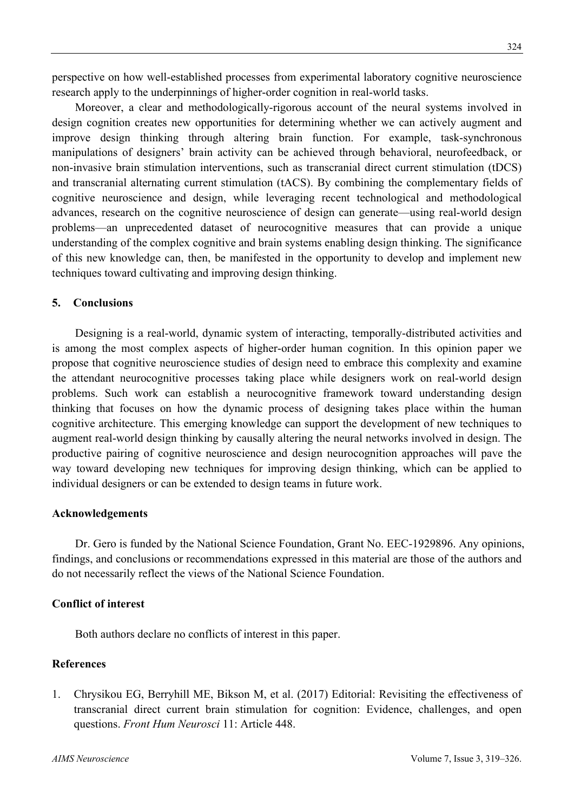perspective on how well-established processes from experimental laboratory cognitive neuroscience research apply to the underpinnings of higher-order cognition in real-world tasks.

Moreover, a clear and methodologically-rigorous account of the neural systems involved in design cognition creates new opportunities for determining whether we can actively augment and improve design thinking through altering brain function. For example, task-synchronous manipulations of designers' brain activity can be achieved through behavioral, neurofeedback, or non-invasive brain stimulation interventions, such as transcranial direct current stimulation (tDCS) and transcranial alternating current stimulation (tACS). By combining the complementary fields of cognitive neuroscience and design, while leveraging recent technological and methodological advances, research on the cognitive neuroscience of design can generate—using real-world design problems—an unprecedented dataset of neurocognitive measures that can provide a unique understanding of the complex cognitive and brain systems enabling design thinking. The significance of this new knowledge can, then, be manifested in the opportunity to develop and implement new techniques toward cultivating and improving design thinking.

#### **5. Conclusions**

Designing is a real-world, dynamic system of interacting, temporally-distributed activities and is among the most complex aspects of higher-order human cognition. In this opinion paper we propose that cognitive neuroscience studies of design need to embrace this complexity and examine the attendant neurocognitive processes taking place while designers work on real-world design problems. Such work can establish a neurocognitive framework toward understanding design thinking that focuses on how the dynamic process of designing takes place within the human cognitive architecture. This emerging knowledge can support the development of new techniques to augment real-world design thinking by causally altering the neural networks involved in design. The productive pairing of cognitive neuroscience and design neurocognition approaches will pave the way toward developing new techniques for improving design thinking, which can be applied to individual designers or can be extended to design teams in future work.

#### **Acknowledgements**

Dr. Gero is funded by the National Science Foundation, Grant No. EEC-1929896. Any opinions, findings, and conclusions or recommendations expressed in this material are those of the authors and do not necessarily reflect the views of the National Science Foundation.

#### **Conflict of interest**

Both authors declare no conflicts of interest in this paper.

### **References**

1. Chrysikou EG, Berryhill ME, Bikson M, et al. (2017) Editorial: Revisiting the effectiveness of transcranial direct current brain stimulation for cognition: Evidence, challenges, and open questions. *Front Hum Neurosci* 11: Article 448.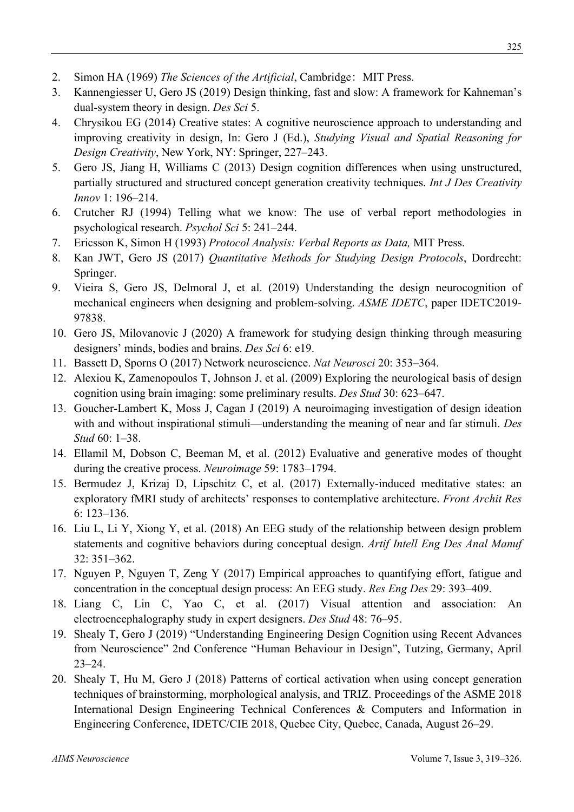- 2. Simon HA (1969) *The Sciences of the Artificial*, Cambridge: MIT Press.
- 3. Kannengiesser U, Gero JS (2019) Design thinking, fast and slow: A framework for Kahneman's dual-system theory in design. *Des Sci* 5.
- 4. Chrysikou EG (2014) Creative states: A cognitive neuroscience approach to understanding and improving creativity in design, In: Gero J (Ed.), *Studying Visual and Spatial Reasoning for Design Creativity*, New York, NY: Springer, 227–243.
- 5. Gero JS, Jiang H, Williams C (2013) Design cognition differences when using unstructured, partially structured and structured concept generation creativity techniques. *Int J Des Creativity Innov* 1: 196–214.
- 6. Crutcher RJ (1994) Telling what we know: The use of verbal report methodologies in psychological research. *Psychol Sci* 5: 241–244.
- 7. Ericsson K, Simon H (1993) *Protocol Analysis: Verbal Reports as Data,* MIT Press.
- 8. Kan JWT, Gero JS (2017) *Quantitative Methods for Studying Design Protocols*, Dordrecht: Springer.
- 9. Vieira S, Gero JS, Delmoral J, et al. (2019) Understanding the design neurocognition of mechanical engineers when designing and problem-solving. *ASME IDETC*, paper IDETC2019- 97838.
- 10. Gero JS, Milovanovic J (2020) A framework for studying design thinking through measuring designers' minds, bodies and brains. *Des Sci* 6: e19.
- 11. Bassett D, Sporns O (2017) Network neuroscience. *Nat Neurosci* 20: 353–364.
- 12. Alexiou K, Zamenopoulos T, Johnson J, et al. (2009) Exploring the neurological basis of design cognition using brain imaging: some preliminary results. *Des Stud* 30: 623–647.
- 13. Goucher-Lambert K, Moss J, Cagan J (2019) A neuroimaging investigation of design ideation with and without inspirational stimuli—understanding the meaning of near and far stimuli. *Des Stud* 60: 1–38.
- 14. Ellamil M, Dobson C, Beeman M, et al. (2012) Evaluative and generative modes of thought during the creative process. *Neuroimage* 59: 1783–1794.
- 15. Bermudez J, Krizaj D, Lipschitz C, et al. (2017) Externally-induced meditative states: an exploratory fMRI study of architects' responses to contemplative architecture. *Front Archit Res* 6: 123–136.
- 16. Liu L, Li Y, Xiong Y, et al. (2018) An EEG study of the relationship between design problem statements and cognitive behaviors during conceptual design. *Artif Intell Eng Des Anal Manuf*  32: 351–362.
- 17. Nguyen P, Nguyen T, Zeng Y (2017) Empirical approaches to quantifying effort, fatigue and concentration in the conceptual design process: An EEG study. *Res Eng Des* 29: 393–409.
- 18. Liang C, Lin C, Yao C, et al. (2017) Visual attention and association: An electroencephalography study in expert designers. *Des Stud* 48: 76–95.
- 19. Shealy T, Gero J (2019) "Understanding Engineering Design Cognition using Recent Advances from Neuroscience" 2nd Conference "Human Behaviour in Design", Tutzing, Germany, April 23–24.
- 20. Shealy T, Hu M, Gero J (2018) Patterns of cortical activation when using concept generation techniques of brainstorming, morphological analysis, and TRIZ. Proceedings of the ASME 2018 International Design Engineering Technical Conferences & Computers and Information in Engineering Conference, IDETC/CIE 2018, Quebec City, Quebec, Canada, August 26–29.